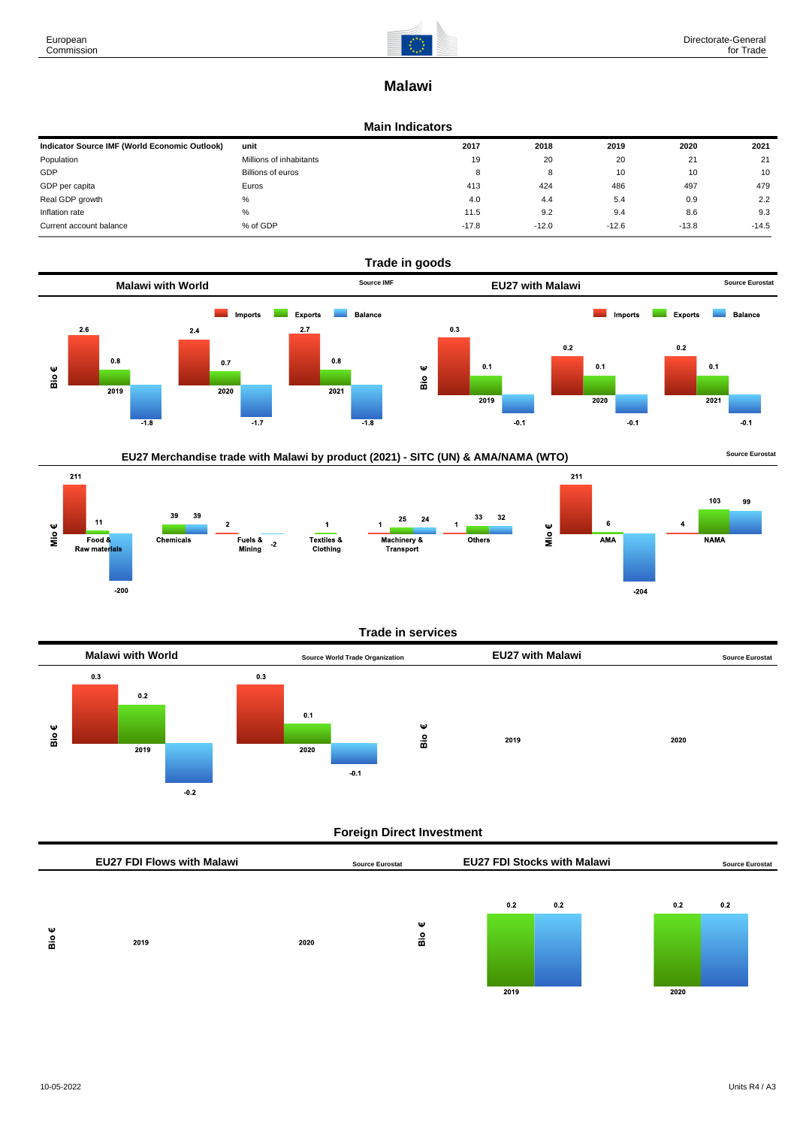

# **Malawi**

#### **Main Indicators**

| Indicator Source IMF (World Economic Outlook) | unit                    | 2017    | 2018    | 2019    | 2020    | 2021    |
|-----------------------------------------------|-------------------------|---------|---------|---------|---------|---------|
| Population                                    | Millions of inhabitants | 19      | 20      | 20      | 21      | 21      |
| GDP                                           | Billions of euros       | 8       | 8       | 10      | 10      | 10      |
| GDP per capita                                | Euros                   | 413     | 424     | 486     | 497     | 479     |
| Real GDP growth                               | %                       | 4.0     | 4.4     | 5.4     | 0.9     | 2.2     |
| Inflation rate                                | %                       | 11.5    | 9.2     | 9.4     | 8.6     | 9.3     |
| Current account balance                       | % of GDP                | $-17.8$ | $-12.0$ | $-12.6$ | $-13.8$ | $-14.5$ |





## **Trade in services**



## **Foreign Direct Investment**

|          | <b>EU27 FDI Flows with Malawi</b> |      | <b>Source Eurostat</b> | <b>EU27 FDI Stocks with Malawi</b> |     |             | <b>Source Eurostat</b> |  |
|----------|-----------------------------------|------|------------------------|------------------------------------|-----|-------------|------------------------|--|
| Ψ<br>Bio | 2019                              | 2020 | Ψ<br>$\frac{6}{10}$    | 0.2<br>2019                        | 0.2 | 0.2<br>2020 | 0.2                    |  |